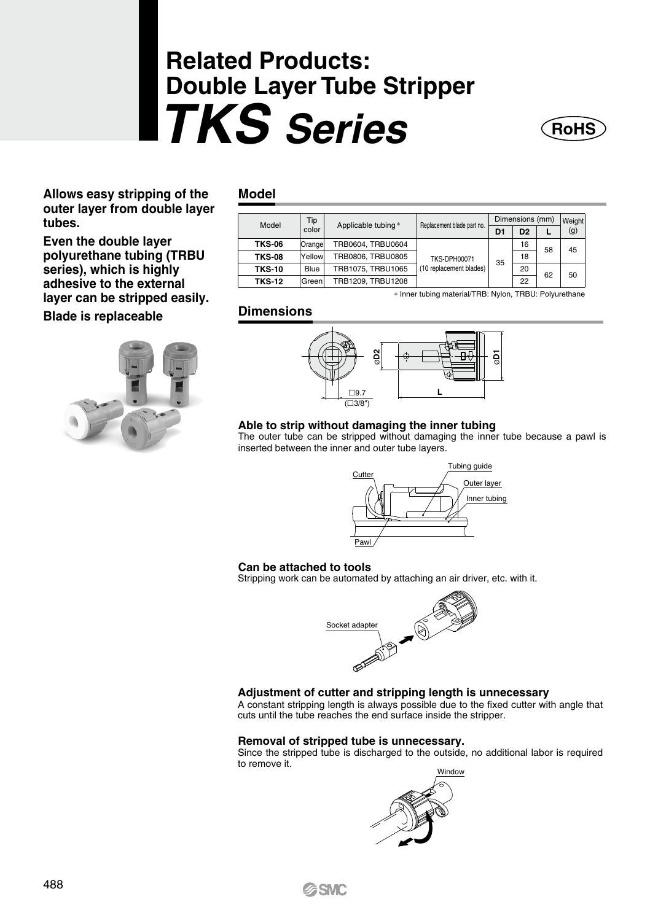# **Related Products: Double Layer Tube Stripper TKS Series**



**Allows easy stripping of the outer layer from double layer tubes.** 

**Even the double layer polyurethane tubing (TRBU series), which is highly adhesive to the external layer can be stripped easily. Blade is replaceable**



### **Model**

| Model         | Tip<br>color | Applicable tubing* | Replacement blade part no. | Dimensions (mm) |                |    | Weight |
|---------------|--------------|--------------------|----------------------------|-----------------|----------------|----|--------|
|               |              |                    |                            | D <sub>1</sub>  | D <sub>2</sub> |    | (g)    |
| <b>TKS-06</b> | Orange       | TRB0604, TRBU0604  |                            | 35              | 16             | 58 | 45     |
| <b>TKS-08</b> | Yellow       | TRB0806, TRBU0805  | <b>TKS-DPH00071</b>        |                 | 18             |    |        |
| <b>TKS-10</b> | Blue         | TRB1075, TRBU1065  | (10 replacement blades)    |                 | 20             | 62 | 50     |
| <b>TKS-12</b> | Green        | TRB1209, TRBU1208  |                            |                 | 22             |    |        |

∗ Inner tubing material/TRB: Nylon, TRBU: Polyurethane

## **Dimensions**



#### **Able to strip without damaging the inner tubing**

The outer tube can be stripped without damaging the inner tube because a pawl is inserted between the inner and outer tube layers.



#### **Can be attached to tools**

Stripping work can be automated by attaching an air driver, etc. with it.



#### **Adjustment of cutter and stripping length is unnecessary**

A constant stripping length is always possible due to the fixed cutter with angle that cuts until the tube reaches the end surface inside the stripper.

#### **Removal of stripped tube is unnecessary.**

Since the stripped tube is discharged to the outside, no additional labor is required to remove it.



**G**SMC